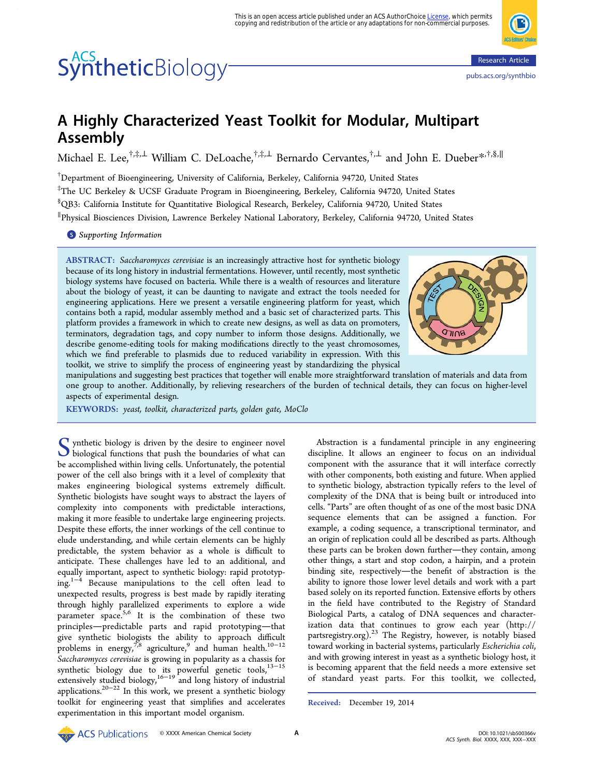# SyntheticBiology<sup>-</sup>



<pubs.acs.org/synthbio>

## A Highly Characterized Yeast Toolkit for Modular, Multipart Assembly

Michael E. Lee,<sup>†,‡,[⊥](#page-9-0)</sup> William C. DeLoache,<sup>†,‡,⊥</sup> Bernardo Cervantes,<sup>†,⊥</sup> and John E. Dueber[\\*](#page-9-0)<sup>,†,§,∥</sup>

† Department of Bioengineering, University of California, Berkeley, California 94720, United States ‡ The UC Berkeley & UCSF Graduate Program in Bioengineering, Berkeley, California 94720, United States  $^{\$}$ QB3: California Institute for Quantitative Biological Research, Berkeley, California 94720, United States ∥ Physical Biosciences Division, Lawrence Berkeley National Laboratory, Berkeley, California 94720, United States

**S** [Supporting Information](#page-9-0)

ABSTRACT: Saccharomyces cerevisiae is an increasingly attractive host for synthetic biology because of its long history in industrial fermentations. However, until recently, most synthetic biology systems have focused on bacteria. While there is a wealth of resources and literature about the biology of yeast, it can be daunting to navigate and extract the tools needed for engineering applications. Here we present a versatile engineering platform for yeast, which contains both a rapid, modular assembly method and a basic set of characterized parts. This platform provides a framework in which to create new designs, as well as data on promoters, terminators, degradation tags, and copy number to inform those designs. Additionally, we describe genome-editing tools for making modifications directly to the yeast chromosomes, which we find preferable to plasmids due to reduced variability in expression. With this toolkit, we strive to simplify the process of engineering yeast by standardizing the physical



manipulations and suggesting best practices that together will enable more straightforward translation of materials and data from one group to another. Additionally, by relieving researchers of the burden of technical details, they can focus on higher-level aspects of experimental design.

KEYWORDS: yeast, toolkit, characterized parts, golden gate, MoClo

Synthetic biology is driven by the desire to engineer novel<br>biological functions that push the boundaries of what can<br>be accomplished within living calls. Unfortunately, the potential be accomplished within living cells. Unfortunately, the potential power of the cell also brings with it a level of complexity that makes engineering biological systems extremely difficult. Synthetic biologists have sought ways to abstract the layers of complexity into components with predictable interactions, making it more feasible to undertake large engineering projects. Despite these efforts, the inner workings of the cell continue to elude understanding, and while certain elements can be highly predictable, the system behavior as a whole is difficult to anticipate. These challenges have led to an additional, and equally important, aspect to synthetic biology: rapid prototyping.[1](#page-9-0)−[4](#page-10-0) Because manipulations to the cell often lead to unexpected results, progress is best made by rapidly iterating through highly parallelized experiments to explore a wide parameter space.<sup>[5,6](#page-10-0)</sup> It is the combination of these two principles-predictable parts and rapid prototyping-that give synthetic biologists the ability to approach difficult problems in energy,<sup>[7](#page-10-0),[8](#page-10-0)</sup> agriculture,<sup>[9](#page-10-0)</sup> and human health.<sup>[10](#page-10-0)−[12](#page-10-0)</sup> Saccharomyces cerevisiae is growing in popularity as a chassis for synthetic biology due to its powerful genetic tools,<sup>[13](#page-10-0)-[15](#page-10-0)</sup> extensively studied biology,<sup>[16](#page-10-0)−[19](#page-10-0)</sup> and long history of industrial applications.[20](#page-10-0)−[22](#page-10-0) In this work, we present a synthetic biology toolkit for engineering yeast that simplifies and accelerates experimentation in this important model organism.

Abstraction is a fundamental principle in any engineering discipline. It allows an engineer to focus on an individual component with the assurance that it will interface correctly with other components, both existing and future. When applied to synthetic biology, abstraction typically refers to the level of complexity of the DNA that is being built or introduced into cells. "Parts" are often thought of as one of the most basic DNA sequence elements that can be assigned a function. For example, a coding sequence, a transcriptional terminator, and an origin of replication could all be described as parts. Although these parts can be broken down further—they contain, among other things, a start and stop codon, a hairpin, and a protein binding site, respectively-the benefit of abstraction is the ability to ignore those lower level details and work with a part based solely on its reported function. Extensive efforts by others in the field have contributed to the Registry of Standard Biological Parts, a catalog of DNA sequences and characterization data that continues to grow each year ([http://](http://partsregistry.org) [partsregistry.org](http://partsregistry.org)).[23](#page-10-0) The Registry, however, is notably biased toward working in bacterial systems, particularly Escherichia coli, and with growing interest in yeast as a synthetic biology host, it is becoming apparent that the field needs a more extensive set of standard yeast parts. For this toolkit, we collected,

Received: December 19, 2014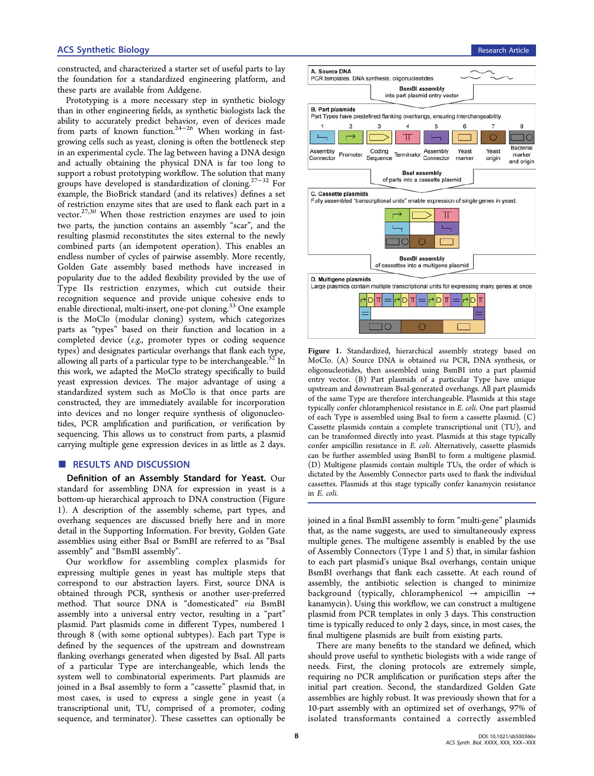constructed, and characterized a starter set of useful parts to lay the foundation for a standardized engineering platform, and these parts are available from Addgene.

Prototyping is a more necessary step in synthetic biology than in other engineering fields, as synthetic biologists lack the ability to accurately predict behavior, even of devices made from parts of known function.<sup>[24](#page-10-0)-[26](#page-10-0)</sup> When working in fastgrowing cells such as yeast, cloning is often the bottleneck step in an experimental cycle. The lag between having a DNA design and actually obtaining the physical DNA is far too long to support a robust prototyping workflow. The solution that many groups have developed is standardization of cloning.<sup>[27](#page-10-0)–[32](#page-10-0)</sup> For example, the BioBrick standard (and its relatives) defines a set of restriction enzyme sites that are used to flank each part in a vector.<sup>[27,30](#page-10-0)</sup> When those restriction enzymes are used to join two parts, the junction contains an assembly "scar", and the resulting plasmid reconstitutes the sites external to the newly combined parts (an idempotent operation). This enables an endless number of cycles of pairwise assembly. More recently, Golden Gate assembly based methods have increased in popularity due to the added flexibility provided by the use of Type IIs restriction enzymes, which cut outside their recognition sequence and provide unique cohesive ends to enable directional, multi-insert, one-pot cloning.<sup>[33](#page-11-0)</sup> One example is the MoClo (modular cloning) system, which categorizes parts as "types" based on their function and location in a completed device (e.g., promoter types or coding sequence types) and designates particular overhangs that flank each type, allowing all parts of a particular type to be interchangeable.<sup>[32](#page-10-0)</sup> In this work, we adapted the MoClo strategy specifically to build yeast expression devices. The major advantage of using a standardized system such as MoClo is that once parts are constructed, they are immediately available for incorporation into devices and no longer require synthesis of oligonucleotides, PCR amplification and purification, or verification by sequencing. This allows us to construct from parts, a plasmid carrying multiple gene expression devices in as little as 2 days.

#### ■ RESULTS AND DISCUSSION

Definition of an Assembly Standard for Yeast. Our standard for assembling DNA for expression in yeast is a bottom-up hierarchical approach to DNA construction (Figure 1). A description of the assembly scheme, part types, and overhang sequences are discussed briefly here and in more detail in the [Supporting Information](#page-9-0). For brevity, Golden Gate assemblies using either BsaI or BsmBI are referred to as "BsaI assembly" and "BsmBI assembly".

Our workflow for assembling complex plasmids for expressing multiple genes in yeast has multiple steps that correspond to our abstraction layers. First, source DNA is obtained through PCR, synthesis or another user-preferred method. That source DNA is "domesticated" via BsmBI assembly into a universal entry vector, resulting in a "part" plasmid. Part plasmids come in different Types, numbered 1 through 8 (with some optional subtypes). Each part Type is defined by the sequences of the upstream and downstream flanking overhangs generated when digested by BsaI. All parts of a particular Type are interchangeable, which lends the system well to combinatorial experiments. Part plasmids are joined in a BsaI assembly to form a "cassette" plasmid that, in most cases, is used to express a single gene in yeast (a transcriptional unit, TU, comprised of a promoter, coding sequence, and terminator). These cassettes can optionally be



Figure 1. Standardized, hierarchical assembly strategy based on MoClo. (A) Source DNA is obtained via PCR, DNA synthesis, or oligonucleotides, then assembled using BsmBI into a part plasmid entry vector. (B) Part plasmids of a particular Type have unique upstream and downstream BsaI-generated overhangs. All part plasmids of the same Type are therefore interchangeable. Plasmids at this stage typically confer chloramphenicol resistance in E. coli. One part plasmid of each Type is assembled using BsaI to form a cassette plasmid. (C) Cassette plasmids contain a complete transcriptional unit (TU), and can be transformed directly into yeast. Plasmids at this stage typically confer ampicillin resistance in E. coli. Alternatively, cassette plasmids can be further assembled using BsmBI to form a multigene plasmid. (D) Multigene plasmids contain multiple TUs, the order of which is dictated by the Assembly Connector parts used to flank the individual cassettes. Plasmids at this stage typically confer kanamycin resistance in E. coli.

joined in a final BsmBI assembly to form "multi-gene" plasmids that, as the name suggests, are used to simultaneously express multiple genes. The multigene assembly is enabled by the use of Assembly Connectors (Type 1 and 5) that, in similar fashion to each part plasmid's unique BsaI overhangs, contain unique BsmBI overhangs that flank each cassette. At each round of assembly, the antibiotic selection is changed to minimize background (typically, chloramphenicol  $\rightarrow$  ampicillin  $\rightarrow$ kanamycin). Using this workflow, we can construct a multigene plasmid from PCR templates in only 3 days. This construction time is typically reduced to only 2 days, since, in most cases, the final multigene plasmids are built from existing parts.

There are many benefits to the standard we defined, which should prove useful to synthetic biologists with a wide range of needs. First, the cloning protocols are extremely simple, requiring no PCR amplification or purification steps after the initial part creation. Second, the standardized Golden Gate assemblies are highly robust. It was previously shown that for a 10-part assembly with an optimized set of overhangs, 97% of isolated transformants contained a correctly assembled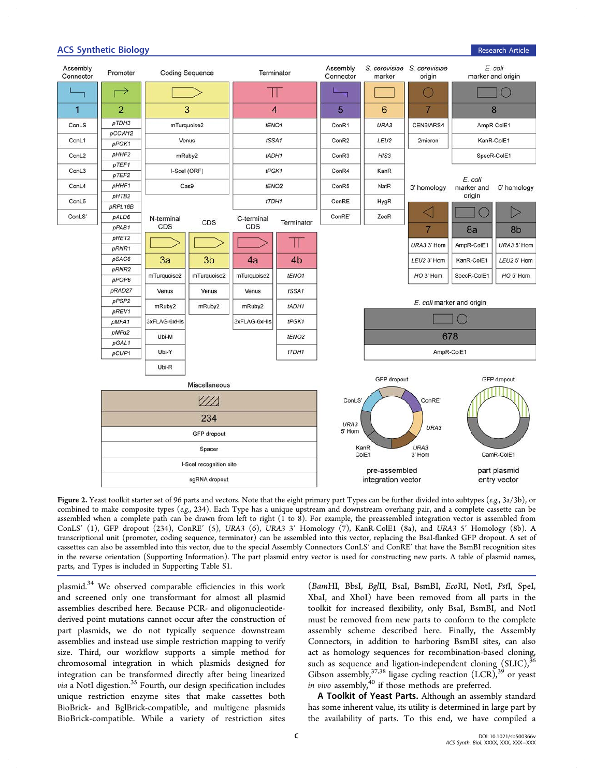### <span id="page-2-0"></span>**ACS Synthetic Biology Research Article Research Article Research Article Research Article**



Figure 2. Yeast toolkit starter set of 96 parts and vectors. Note that the eight primary part Types can be further divided into subtypes (e.g., 3a/3b), or combined to make composite types ( $e.g., 234$ ). Each Type has a unique upstream and downstream overhang pair, and a complete cassette can be assembled when a complete path can be drawn from left to right (1 to 8). For example, the preassembled integration vector is assembled from ConLS′ (1), GFP dropout (234), ConRE′ (5), URA3 (6), URA3 3′ Homology (7), KanR-ColE1 (8a), and URA3 5′ Homology (8b). A transcriptional unit (promoter, coding sequence, terminator) can be assembled into this vector, replacing the BsaI-flanked GFP dropout. A set of cassettes can also be assembled into this vector, due to the special Assembly Connectors ConLS′ and ConRE′ that have the BsmBI recognition sites in the reverse orientation ([Supporting Information](#page-9-0)). The part plasmid entry vector is used for constructing new parts. A table of plasmid names, parts, and Types is included in [Supporting Table S1.](#page-9-0)

plasmid.[34](#page-11-0) We observed comparable efficiencies in this work and screened only one transformant for almost all plasmid assemblies described here. Because PCR- and oligonucleotidederived point mutations cannot occur after the construction of part plasmids, we do not typically sequence downstream assemblies and instead use simple restriction mapping to verify size. Third, our workflow supports a simple method for chromosomal integration in which plasmids designed for integration can be transformed directly after being linearized *via* a NotI digestion.<sup>[35](#page-11-0)</sup> Fourth, our design specification includes unique restriction enzyme sites that make cassettes both BioBrick- and BglBrick-compatible, and multigene plasmids BioBrick-compatible. While a variety of restriction sites

(BamHI, BbsI, BglII, BsaI, BsmBI, EcoRI, NotI, PstI, SpeI, XbaI, and XhoI) have been removed from all parts in the toolkit for increased flexibility, only BsaI, BsmBI, and NotI must be removed from new parts to conform to the complete assembly scheme described here. Finally, the Assembly Connectors, in addition to harboring BsmBI sites, can also act as homology sequences for recombination-based cloning, such as sequence and ligation-independent cloning  $(SLIC)^3$ Gibson assembly,  $37,38$  ligase cycling reaction (LCR),  $39$  or yeast in vivo assembly, $40$  if those methods are preferred.

A Toolkit of Yeast Parts. Although an assembly standard has some inherent value, its utility is determined in large part by the availability of parts. To this end, we have compiled a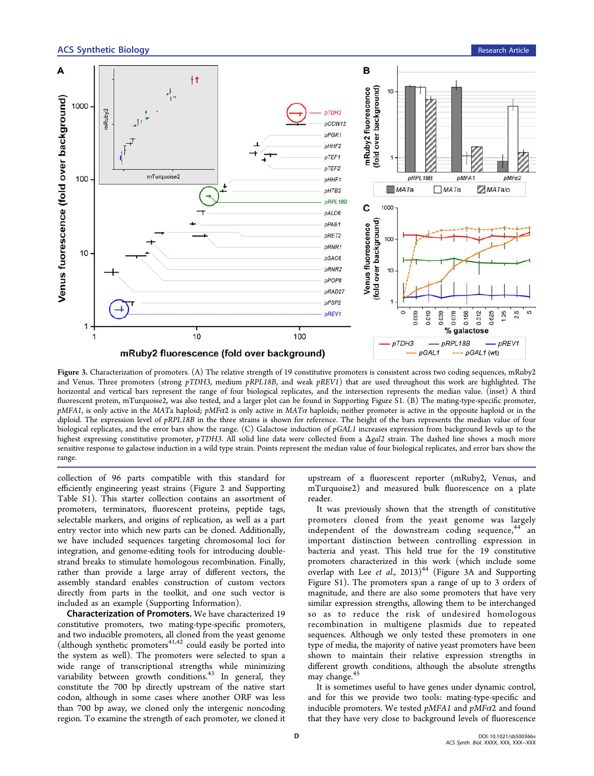<span id="page-3-0"></span>

Figure 3. Characterization of promoters. (A) The relative strength of 19 constitutive promoters is consistent across two coding sequences, mRuby2 and Venus. Three promoters (strong pTDH3, medium pRPL18B, and weak pREV1) that are used throughout this work are highlighted. The horizontal and vertical bars represent the range of four biological replicates, and the intersection represents the median value. (inset) A third fluorescent protein, mTurquoise2, was also tested, and a larger plot can be found in [Supporting Figure S1](#page-9-0). (B) The mating-type-specific promoter,  $pMFA1$ , is only active in the MATa haploid;  $pMFA2$  is only active in  $MATA$  haploids; neither promoter is active in the opposite haploid or in the diploid. The expression level of pRPL18B in the three strains is shown for reference. The height of the bars represents the median value of four biological replicates, and the error bars show the range. (C) Galactose induction of  $pGAL1$  increases expression from background levels up to the highest expressing constitutive promoter, pTDH3. All solid line data were collected from a  $\Delta gal2$  strain. The dashed line shows a much more sensitive response to galactose induction in a wild type strain. Points represent the median value of four biological replicates, and error bars show the range.

collection of 96 parts compatible with this standard for efficiently engineering yeast strains (Figure [2](#page-2-0) and [Supporting](#page-9-0) [Table S1](#page-9-0)). This starter collection contains an assortment of promoters, terminators, fluorescent proteins, peptide tags, selectable markers, and origins of replication, as well as a part entry vector into which new parts can be cloned. Additionally, we have included sequences targeting chromosomal loci for integration, and genome-editing tools for introducing doublestrand breaks to stimulate homologous recombination. Finally, rather than provide a large array of different vectors, the assembly standard enables construction of custom vectors directly from parts in the toolkit, and one such vector is included as an example [\(Supporting Information](#page-9-0)).

Characterization of Promoters. We have characterized 19 constitutive promoters, two mating-type-specific promoters, and two inducible promoters, all cloned from the yeast genome (although synthetic promoters $41,42$  $41,42$  $41,42$  could easily be ported into the system as well). The promoters were selected to span a wide range of transcriptional strengths while minimizing variability between growth conditions.<sup>[43](#page-11-0)</sup> In general, they constitute the 700 bp directly upstream of the native start codon, although in some cases where another ORF was less than 700 bp away, we cloned only the intergenic noncoding region. To examine the strength of each promoter, we cloned it

upstream of a fluorescent reporter (mRuby2, Venus, and mTurquoise2) and measured bulk fluorescence on a plate reader.

It was previously shown that the strength of constitutive promoters cloned from the yeast genome was largely independent of the downstream coding sequence,  $44$  an important distinction between controlling expression in bacteria and yeast. This held true for the 19 constitutive promoters characterized in this work (which include some overlap with Lee et al.,  $2013$ <sup>44</sup> (Figure 3A and [Supporting](#page-9-0) [Figure S1\)](#page-9-0). The promoters span a range of up to 3 orders of magnitude, and there are also some promoters that have very similar expression strengths, allowing them to be interchanged so as to reduce the risk of undesired homologous recombination in multigene plasmids due to repeated sequences. Although we only tested these promoters in one type of media, the majority of native yeast promoters have been shown to maintain their relative expression strengths in different growth conditions, although the absolute strengths may change.<sup>[45](#page-11-0)</sup>

It is sometimes useful to have genes under dynamic control, and for this we provide two tools: mating-type-specific and inducible promoters. We tested  $pMFA1$  and  $pMFA2$  and found that they have very close to background levels of fluorescence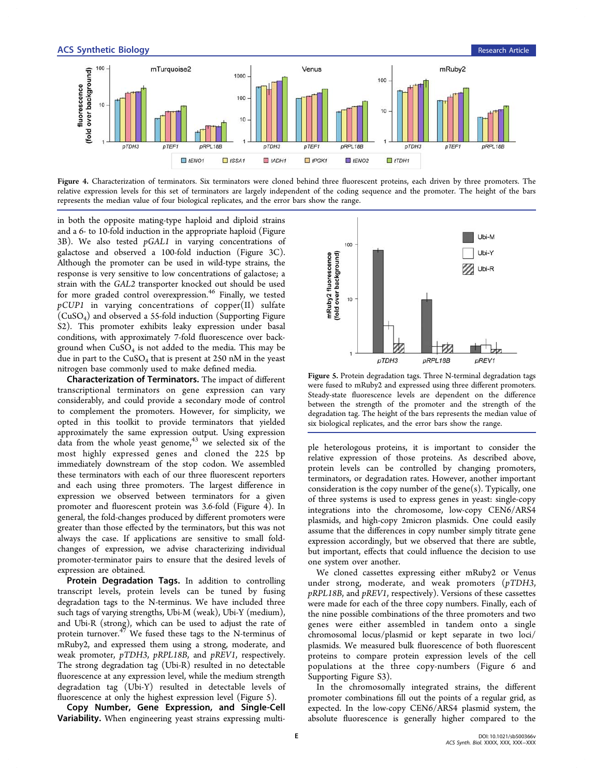

Figure 4. Characterization of terminators. Six terminators were cloned behind three fluorescent proteins, each driven by three promoters. The relative expression levels for this set of terminators are largely independent of the coding sequence and the promoter. The height of the bars represents the median value of four biological replicates, and the error bars show the range.

in both the opposite mating-type haploid and diploid strains and a 6- to 10-fold induction in the appropriate haploid (Figure [3](#page-3-0)B). We also tested pGAL1 in varying concentrations of galactose and observed a 100-fold induction (Figure [3C](#page-3-0)). Although the promoter can be used in wild-type strains, the response is very sensitive to low concentrations of galactose; a strain with the GAL2 transporter knocked out should be used for more graded control overexpression.<sup>[46](#page-11-0)</sup> Finally, we tested  $pCUP1$  in varying concentrations of copper(II) sulfate (CuSO4) and observed a 55-fold induction [\(Supporting Figure](#page-9-0) [S2\)](#page-9-0). This promoter exhibits leaky expression under basal conditions, with approximately 7-fold fluorescence over background when  $CuSO<sub>4</sub>$  is not added to the media. This may be due in part to the  $CuSO<sub>4</sub>$  that is present at 250 nM in the yeast nitrogen base commonly used to make defined media.

Characterization of Terminators. The impact of different transcriptional terminators on gene expression can vary considerably, and could provide a secondary mode of control to complement the promoters. However, for simplicity, we opted in this toolkit to provide terminators that yielded approximately the same expression output. Using expression data from the whole yeast genome, $43$  we selected six of the most highly expressed genes and cloned the 225 bp immediately downstream of the stop codon. We assembled these terminators with each of our three fluorescent reporters and each using three promoters. The largest difference in expression we observed between terminators for a given promoter and fluorescent protein was 3.6-fold (Figure 4). In general, the fold-changes produced by different promoters were greater than those effected by the terminators, but this was not always the case. If applications are sensitive to small foldchanges of expression, we advise characterizing individual promoter-terminator pairs to ensure that the desired levels of expression are obtained.

Protein Degradation Tags. In addition to controlling transcript levels, protein levels can be tuned by fusing degradation tags to the N-terminus. We have included three such tags of varying strengths, Ubi-M (weak), Ubi-Y (medium), and Ubi-R (strong), which can be used to adjust the rate of protein turnover. $47$  We fused these tags to the N-terminus of mRuby2, and expressed them using a strong, moderate, and weak promoter, pTDH3, pRPL18B, and pREV1, respectively. The strong degradation tag (Ubi-R) resulted in no detectable fluorescence at any expression level, while the medium strength degradation tag (Ubi-Y) resulted in detectable levels of fluorescence at only the highest expression level (Figure 5).

Copy Number, Gene Expression, and Single-Cell Variability. When engineering yeast strains expressing multi-



Figure 5. Protein degradation tags. Three N-terminal degradation tags were fused to mRuby2 and expressed using three different promoters. Steady-state fluorescence levels are dependent on the difference between the strength of the promoter and the strength of the degradation tag. The height of the bars represents the median value of six biological replicates, and the error bars show the range.

ple heterologous proteins, it is important to consider the relative expression of those proteins. As described above, protein levels can be controlled by changing promoters, terminators, or degradation rates. However, another important consideration is the copy number of the gene $(s)$ . Typically, one of three systems is used to express genes in yeast: single-copy integrations into the chromosome, low-copy CEN6/ARS4 plasmids, and high-copy 2micron plasmids. One could easily assume that the differences in copy number simply titrate gene expression accordingly, but we observed that there are subtle, but important, effects that could influence the decision to use one system over another.

We cloned cassettes expressing either mRuby2 or Venus under strong, moderate, and weak promoters (pTDH3, pRPL18B, and pREV1, respectively). Versions of these cassettes were made for each of the three copy numbers. Finally, each of the nine possible combinations of the three promoters and two genes were either assembled in tandem onto a single chromosomal locus/plasmid or kept separate in two loci/ plasmids. We measured bulk fluorescence of both fluorescent proteins to compare protein expression levels of the cell populations at the three copy-numbers (Figure [6](#page-5-0) and [Supporting Figure S3\)](#page-9-0).

In the chromosomally integrated strains, the different promoter combinations fill out the points of a regular grid, as expected. In the low-copy CEN6/ARS4 plasmid system, the absolute fluorescence is generally higher compared to the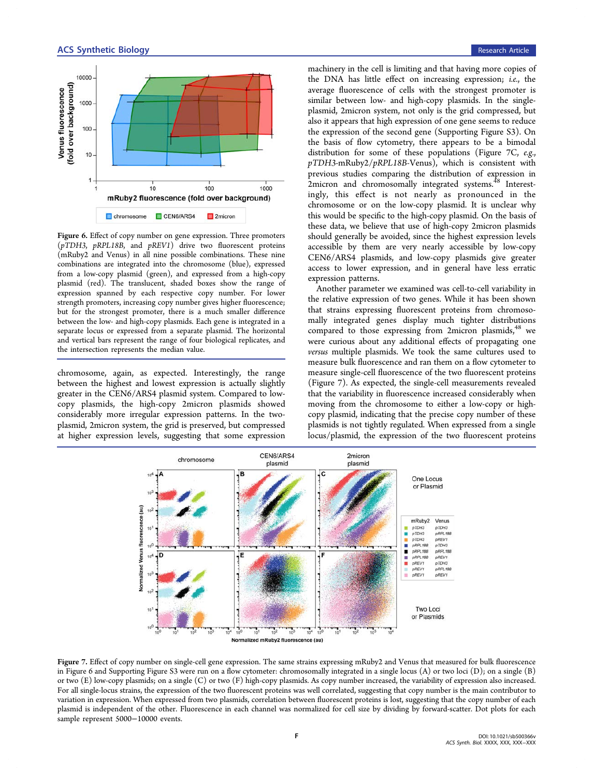<span id="page-5-0"></span>



Figure 6. Effect of copy number on gene expression. Three promoters (pTDH3, pRPL18B, and pREV1) drive two fluorescent proteins (mRuby2 and Venus) in all nine possible combinations. These nine combinations are integrated into the chromosome (blue), expressed from a low-copy plasmid (green), and expressed from a high-copy plasmid (red). The translucent, shaded boxes show the range of expression spanned by each respective copy number. For lower strength promoters, increasing copy number gives higher fluorescence; but for the strongest promoter, there is a much smaller difference between the low- and high-copy plasmids. Each gene is integrated in a separate locus or expressed from a separate plasmid. The horizontal and vertical bars represent the range of four biological replicates, and the intersection represents the median value.

chromosome, again, as expected. Interestingly, the range between the highest and lowest expression is actually slightly greater in the CEN6/ARS4 plasmid system. Compared to lowcopy plasmids, the high-copy 2micron plasmids showed considerably more irregular expression patterns. In the twoplasmid, 2micron system, the grid is preserved, but compressed at higher expression levels, suggesting that some expression

machinery in the cell is limiting and that having more copies of the DNA has little effect on increasing expression; i.e., the average fluorescence of cells with the strongest promoter is similar between low- and high-copy plasmids. In the singleplasmid, 2micron system, not only is the grid compressed, but also it appears that high expression of one gene seems to reduce the expression of the second gene [\(Supporting Figure S3](#page-9-0)). On the basis of flow cytometry, there appears to be a bimodal distribution for some of these populations (Figure 7C, e.g., pTDH3-mRuby2/pRPL18B-Venus), which is consistent with previous studies comparing the distribution of expression in 2micron and chromosomally integrated systems.<sup>[48](#page-11-0)</sup> Interestingly, this effect is not nearly as pronounced in the chromosome or on the low-copy plasmid. It is unclear why this would be specific to the high-copy plasmid. On the basis of these data, we believe that use of high-copy 2micron plasmids should generally be avoided, since the highest expression levels accessible by them are very nearly accessible by low-copy CEN6/ARS4 plasmids, and low-copy plasmids give greater access to lower expression, and in general have less erratic expression patterns.

Another parameter we examined was cell-to-cell variability in the relative expression of two genes. While it has been shown that strains expressing fluorescent proteins from chromosomally integrated genes display much tighter distributions compared to those expressing from 2micron plasmids,<sup>[48](#page-11-0)</sup> we were curious about any additional effects of propagating one versus multiple plasmids. We took the same cultures used to measure bulk fluorescence and ran them on a flow cytometer to measure single-cell fluorescence of the two fluorescent proteins (Figure 7). As expected, the single-cell measurements revealed that the variability in fluorescence increased considerably when moving from the chromosome to either a low-copy or highcopy plasmid, indicating that the precise copy number of these plasmids is not tightly regulated. When expressed from a single locus/plasmid, the expression of the two fluorescent proteins



Figure 7. Effect of copy number on single-cell gene expression. The same strains expressing mRuby2 and Venus that measured for bulk fluorescence in Figure 6 and [Supporting Figure S3](#page-9-0) were run on a flow cytometer: chromosomally integrated in a single locus (A) or two loci (D); on a single (B) or two (E) low-copy plasmids; on a single (C) or two (F) high-copy plasmids. As copy number increased, the variability of expression also increased. For all single-locus strains, the expression of the two fluorescent proteins was well correlated, suggesting that copy number is the main contributor to variation in expression. When expressed from two plasmids, correlation between fluorescent proteins is lost, suggesting that the copy number of each plasmid is independent of the other. Fluorescence in each channel was normalized for cell size by dividing by forward-scatter. Dot plots for each sample represent 5000−10000 events.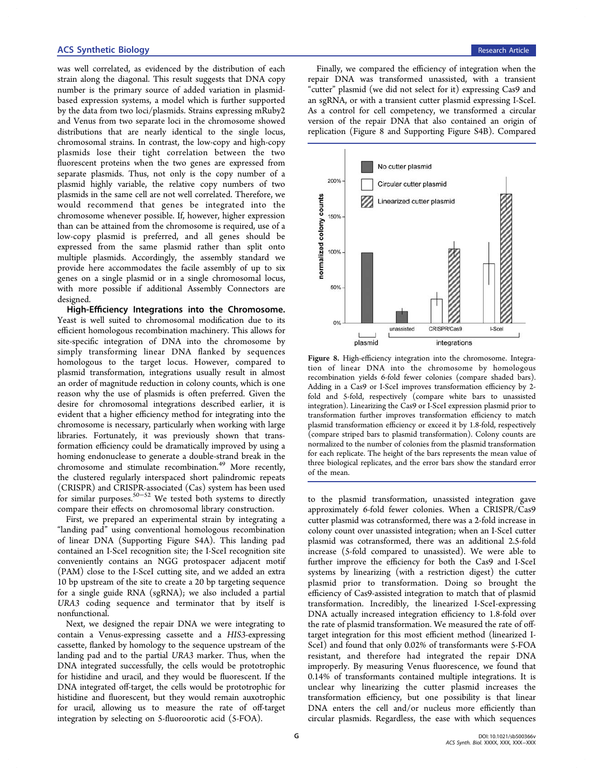was well correlated, as evidenced by the distribution of each strain along the diagonal. This result suggests that DNA copy number is the primary source of added variation in plasmidbased expression systems, a model which is further supported by the data from two loci/plasmids. Strains expressing mRuby2 and Venus from two separate loci in the chromosome showed distributions that are nearly identical to the single locus, chromosomal strains. In contrast, the low-copy and high-copy plasmids lose their tight correlation between the two fluorescent proteins when the two genes are expressed from separate plasmids. Thus, not only is the copy number of a plasmid highly variable, the relative copy numbers of two plasmids in the same cell are not well correlated. Therefore, we would recommend that genes be integrated into the chromosome whenever possible. If, however, higher expression than can be attained from the chromosome is required, use of a low-copy plasmid is preferred, and all genes should be expressed from the same plasmid rather than split onto multiple plasmids. Accordingly, the assembly standard we provide here accommodates the facile assembly of up to six genes on a single plasmid or in a single chromosomal locus, with more possible if additional Assembly Connectors are designed.

High-Efficiency Integrations into the Chromosome. Yeast is well suited to chromosomal modification due to its efficient homologous recombination machinery. This allows for site-specific integration of DNA into the chromosome by simply transforming linear DNA flanked by sequences homologous to the target locus. However, compared to plasmid transformation, integrations usually result in almost an order of magnitude reduction in colony counts, which is one reason why the use of plasmids is often preferred. Given the desire for chromosomal integrations described earlier, it is evident that a higher efficiency method for integrating into the chromosome is necessary, particularly when working with large libraries. Fortunately, it was previously shown that transformation efficiency could be dramatically improved by using a homing endonuclease to generate a double-strand break in the chromosome and stimulate recombination.<sup>[49](#page-11-0)</sup> More recently, the clustered regularly interspaced short palindromic repeats (CRISPR) and CRISPR-associated (Cas) system has been used for similar purposes.[50](#page-11-0)−[52](#page-11-0) We tested both systems to directly compare their effects on chromosomal library construction.

First, we prepared an experimental strain by integrating a "landing pad" using conventional homologous recombination of linear DNA ([Supporting Figure S4A\)](#page-9-0). This landing pad contained an I-SceI recognition site; the I-SceI recognition site conveniently contains an NGG protospacer adjacent motif (PAM) close to the I-SceI cutting site, and we added an extra 10 bp upstream of the site to create a 20 bp targeting sequence for a single guide RNA (sgRNA); we also included a partial URA3 coding sequence and terminator that by itself is nonfunctional.

Next, we designed the repair DNA we were integrating to contain a Venus-expressing cassette and a HIS3-expressing cassette, flanked by homology to the sequence upstream of the landing pad and to the partial URA3 marker. Thus, when the DNA integrated successfully, the cells would be prototrophic for histidine and uracil, and they would be fluorescent. If the DNA integrated off-target, the cells would be prototrophic for histidine and fluorescent, but they would remain auxotrophic for uracil, allowing us to measure the rate of off-target integration by selecting on 5-fluoroorotic acid (5-FOA).

Finally, we compared the efficiency of integration when the repair DNA was transformed unassisted, with a transient "cutter" plasmid (we did not select for it) expressing Cas9 and an sgRNA, or with a transient cutter plasmid expressing I-SceI. As a control for cell competency, we transformed a circular version of the repair DNA that also contained an origin of replication (Figure 8 and [Supporting Figure S4B\)](#page-9-0). Compared



Figure 8. High-efficiency integration into the chromosome. Integration of linear DNA into the chromosome by homologous recombination yields 6-fold fewer colonies (compare shaded bars). Adding in a Cas9 or I-SceI improves transformation efficiency by 2 fold and 5-fold, respectively (compare white bars to unassisted integration). Linearizing the Cas9 or I-SceI expression plasmid prior to transformation further improves transformation efficiency to match plasmid transformation efficiency or exceed it by 1.8-fold, respectively (compare striped bars to plasmid transformation). Colony counts are normalized to the number of colonies from the plasmid transformation for each replicate. The height of the bars represents the mean value of three biological replicates, and the error bars show the standard error of the mean.

to the plasmid transformation, unassisted integration gave approximately 6-fold fewer colonies. When a CRISPR/Cas9 cutter plasmid was cotransformed, there was a 2-fold increase in colony count over unassisted integration; when an I-SceI cutter plasmid was cotransformed, there was an additional 2.5-fold increase (5-fold compared to unassisted). We were able to further improve the efficiency for both the Cas9 and I-SceI systems by linearizing (with a restriction digest) the cutter plasmid prior to transformation. Doing so brought the efficiency of Cas9-assisted integration to match that of plasmid transformation. Incredibly, the linearized I-SceI-expressing DNA actually increased integration efficiency to 1.8-fold over the rate of plasmid transformation. We measured the rate of offtarget integration for this most efficient method (linearized I-SceI) and found that only 0.02% of transformants were 5-FOA resistant, and therefore had integrated the repair DNA improperly. By measuring Venus fluorescence, we found that 0.14% of transformants contained multiple integrations. It is unclear why linearizing the cutter plasmid increases the transformation efficiency, but one possibility is that linear DNA enters the cell and/or nucleus more efficiently than circular plasmids. Regardless, the ease with which sequences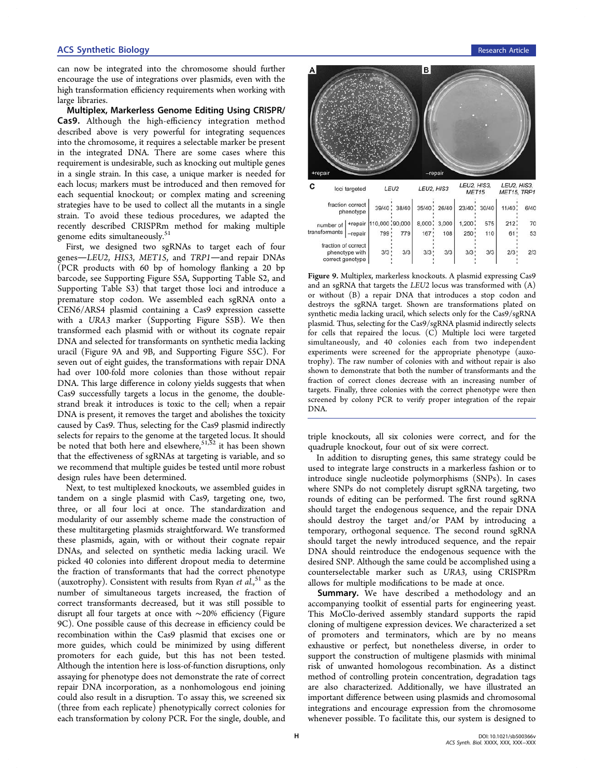#### **ACS Synthetic Biology Research Article Research Article Research Article Research Article Research Article**

can now be integrated into the chromosome should further encourage the use of integrations over plasmids, even with the high transformation efficiency requirements when working with large libraries.

Multiplex, Markerless Genome Editing Using CRISPR/ Cas9. Although the high-efficiency integration method described above is very powerful for integrating sequences into the chromosome, it requires a selectable marker be present in the integrated DNA. There are some cases where this requirement is undesirable, such as knocking out multiple genes in a single strain. In this case, a unique marker is needed for each locus; markers must be introduced and then removed for each sequential knockout; or complex mating and screening strategies have to be used to collect all the mutants in a single strain. To avoid these tedious procedures, we adapted the recently described CRISPRm method for making multiple genome edits simultaneously.<sup>[51](#page-11-0)</sup>

First, we designed two sgRNAs to target each of four genes-LEU2, HIS3, MET15, and TRP1-and repair DNAs (PCR products with 60 bp of homology flanking a 20 bp barcode, see [Supporting Figure S5A, Supporting Table S2, and](#page-9-0) [Supporting Table S3](#page-9-0)) that target those loci and introduce a premature stop codon. We assembled each sgRNA onto a CEN6/ARS4 plasmid containing a Cas9 expression cassette with a URA3 marker ([Supporting Figure S5B](#page-9-0)). We then transformed each plasmid with or without its cognate repair DNA and selected for transformants on synthetic media lacking uracil (Figure 9A and 9B, and [Supporting Figure S5C\)](#page-9-0). For seven out of eight guides, the transformations with repair DNA had over 100-fold more colonies than those without repair DNA. This large difference in colony yields suggests that when Cas9 successfully targets a locus in the genome, the doublestrand break it introduces is toxic to the cell; when a repair DNA is present, it removes the target and abolishes the toxicity caused by Cas9. Thus, selecting for the Cas9 plasmid indirectly selects for repairs to the genome at the targeted locus. It should be noted that both here and elsewhere,  $51,52$  it has been shown that the effectiveness of sgRNAs at targeting is variable, and so we recommend that multiple guides be tested until more robust design rules have been determined.

Next, to test multiplexed knockouts, we assembled guides in tandem on a single plasmid with Cas9, targeting one, two, three, or all four loci at once. The standardization and modularity of our assembly scheme made the construction of these multitargeting plasmids straightforward. We transformed these plasmids, again, with or without their cognate repair DNAs, and selected on synthetic media lacking uracil. We picked 40 colonies into different dropout media to determine the fraction of transformants that had the correct phenotype (auxotrophy). Consistent with results from Ryan et al.,<sup>[51](#page-11-0)</sup> as the number of simultaneous targets increased, the fraction of correct transformants decreased, but it was still possible to disrupt all four targets at once with ∼20% efficiency (Figure 9C). One possible cause of this decrease in efficiency could be recombination within the Cas9 plasmid that excises one or more guides, which could be minimized by using different promoters for each guide, but this has not been tested. Although the intention here is loss-of-function disruptions, only assaying for phenotype does not demonstrate the rate of correct repair DNA incorporation, as a nonhomologous end joining could also result in a disruption. To assay this, we screened six (three from each replicate) phenotypically correct colonies for each transformation by colony PCR. For the single, double, and



Figure 9. Multiplex, markerless knockouts. A plasmid expressing Cas9 and an sgRNA that targets the LEU2 locus was transformed with (A) or without (B) a repair DNA that introduces a stop codon and destroys the sgRNA target. Shown are transformations plated on synthetic media lacking uracil, which selects only for the Cas9/sgRNA plasmid. Thus, selecting for the Cas9/sgRNA plasmid indirectly selects for cells that repaired the locus. (C) Multiple loci were targeted simultaneously, and 40 colonies each from two independent experiments were screened for the appropriate phenotype (auxotrophy). The raw number of colonies with and without repair is also shown to demonstrate that both the number of transformants and the fraction of correct clones decrease with an increasing number of targets. Finally, three colonies with the correct phenotype were then screened by colony PCR to verify proper integration of the repair DNA.

triple knockouts, all six colonies were correct, and for the quadruple knockout, four out of six were correct.

In addition to disrupting genes, this same strategy could be used to integrate large constructs in a markerless fashion or to introduce single nucleotide polymorphisms (SNPs). In cases where SNPs do not completely disrupt sgRNA targeting, two rounds of editing can be performed. The first round sgRNA should target the endogenous sequence, and the repair DNA should destroy the target and/or PAM by introducing a temporary, orthogonal sequence. The second round sgRNA should target the newly introduced sequence, and the repair DNA should reintroduce the endogenous sequence with the desired SNP. Although the same could be accomplished using a counterselectable marker such as URA3, using CRISPRm allows for multiple modifications to be made at once.

Summary. We have described a methodology and an accompanying toolkit of essential parts for engineering yeast. This MoClo-derived assembly standard supports the rapid cloning of multigene expression devices. We characterized a set of promoters and terminators, which are by no means exhaustive or perfect, but nonetheless diverse, in order to support the construction of multigene plasmids with minimal risk of unwanted homologous recombination. As a distinct method of controlling protein concentration, degradation tags are also characterized. Additionally, we have illustrated an important difference between using plasmids and chromosomal integrations and encourage expression from the chromosome whenever possible. To facilitate this, our system is designed to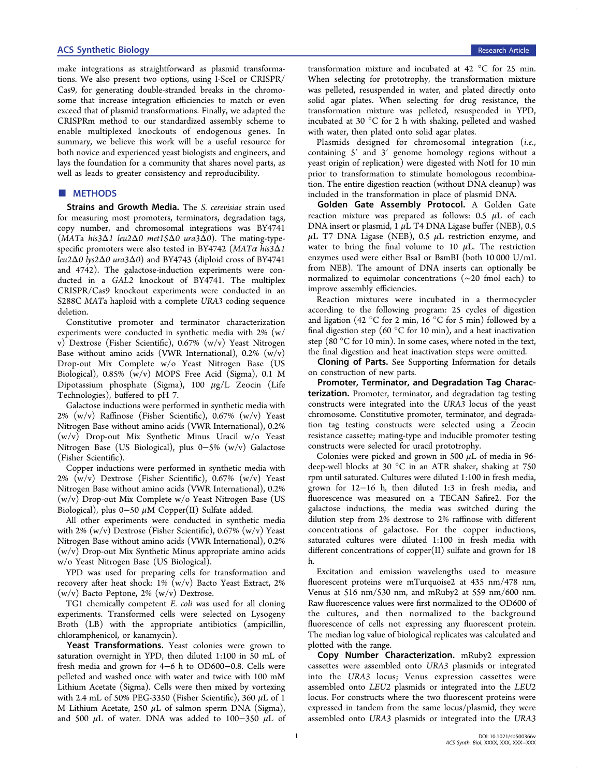make integrations as straightforward as plasmid transformations. We also present two options, using I-SceI or CRISPR/ Cas9, for generating double-stranded breaks in the chromosome that increase integration efficiencies to match or even exceed that of plasmid transformations. Finally, we adapted the CRISPRm method to our standardized assembly scheme to enable multiplexed knockouts of endogenous genes. In summary, we believe this work will be a useful resource for both novice and experienced yeast biologists and engineers, and lays the foundation for a community that shares novel parts, as well as leads to greater consistency and reproducibility.

#### ■ METHODS

Strains and Growth Media. The S. cerevisiae strain used for measuring most promoters, terminators, degradation tags, copy number, and chromosomal integrations was BY4741 (MATa his3Δ1 leu2Δ0 met15Δ0 ura3Δ0). The mating-typespecific promoters were also tested in BY4742 (MATα his3Δ1 leu2Δ0 lys2Δ0 ura3Δ0) and BY4743 (diploid cross of BY4741 and 4742). The galactose-induction experiments were conducted in a GAL2 knockout of BY4741. The multiplex CRISPR/Cas9 knockout experiments were conducted in an S288C MATa haploid with a complete URA3 coding sequence deletion.

Constitutive promoter and terminator characterization experiments were conducted in synthetic media with 2% (w/ v) Dextrose (Fisher Scientific), 0.67% (w/v) Yeast Nitrogen Base without amino acids (VWR International),  $0.2\%$  (w/v) Drop-out Mix Complete w/o Yeast Nitrogen Base (US Biological), 0.85% (w/v) MOPS Free Acid (Sigma), 0.1 M Dipotassium phosphate (Sigma), 100  $\mu$ g/L Zeocin (Life Technologies), buffered to pH 7.

Galactose inductions were performed in synthetic media with 2% (w/v) Raffinose (Fisher Scientific), 0.67% (w/v) Yeast Nitrogen Base without amino acids (VWR International), 0.2% (w/v) Drop-out Mix Synthetic Minus Uracil w/o Yeast Nitrogen Base (US Biological), plus 0−5% (w/v) Galactose (Fisher Scientific).

Copper inductions were performed in synthetic media with  $2\%$  (w/v) Dextrose (Fisher Scientific), 0.67% (w/v) Yeast Nitrogen Base without amino acids (VWR International), 0.2% (w/v) Drop-out Mix Complete w/o Yeast Nitrogen Base (US Biological), plus 0−50 μM Copper(II) Sulfate added.

All other experiments were conducted in synthetic media with 2% (w/v) Dextrose (Fisher Scientific), 0.67% (w/v) Yeast Nitrogen Base without amino acids (VWR International), 0.2% (w/v) Drop-out Mix Synthetic Minus appropriate amino acids w/o Yeast Nitrogen Base (US Biological).

YPD was used for preparing cells for transformation and recovery after heat shock: 1% (w/v) Bacto Yeast Extract, 2% (w/v) Bacto Peptone, 2% (w/v) Dextrose.

TG1 chemically competent E. coli was used for all cloning experiments. Transformed cells were selected on Lysogeny Broth (LB) with the appropriate antibiotics (ampicillin, chloramphenicol, or kanamycin).

Yeast Transformations. Yeast colonies were grown to saturation overnight in YPD, then diluted 1:100 in 50 mL of fresh media and grown for 4−6 h to OD600−0.8. Cells were pelleted and washed once with water and twice with 100 mM Lithium Acetate (Sigma). Cells were then mixed by vortexing with 2.4 mL of 50% PEG-3350 (Fisher Scientific), 360  $\mu$ L of 1 M Lithium Acetate, 250  $\mu$ L of salmon sperm DNA (Sigma), and 500  $\mu$ L of water. DNA was added to 100−350  $\mu$ L of

transformation mixture and incubated at 42 °C for 25 min. When selecting for prototrophy, the transformation mixture was pelleted, resuspended in water, and plated directly onto solid agar plates. When selecting for drug resistance, the transformation mixture was pelleted, resuspended in YPD, incubated at 30 °C for 2 h with shaking, pelleted and washed with water, then plated onto solid agar plates.

Plasmids designed for chromosomal integration (i.e., containing 5′ and 3′ genome homology regions without a yeast origin of replication) were digested with NotI for 10 min prior to transformation to stimulate homologous recombination. The entire digestion reaction (without DNA cleanup) was included in the transformation in place of plasmid DNA.

Golden Gate Assembly Protocol. A Golden Gate reaction mixture was prepared as follows:  $0.5 \mu L$  of each DNA insert or plasmid, 1  $\mu$ L T4 DNA Ligase buffer (NEB), 0.5  $\mu$ L T7 DNA Ligase (NEB), 0.5  $\mu$ L restriction enzyme, and water to bring the final volume to 10  $\mu$ L. The restriction enzymes used were either BsaI or BsmBI (both 10 000 U/mL from NEB). The amount of DNA inserts can optionally be normalized to equimolar concentrations (∼20 fmol each) to improve assembly efficiencies.

Reaction mixtures were incubated in a thermocycler according to the following program: 25 cycles of digestion and ligation (42 °C for 2 min, 16 °C for 5 min) followed by a final digestion step (60 °C for 10 min), and a heat inactivation step (80 $\degree$ C for 10 min). In some cases, where noted in the text, the final digestion and heat inactivation steps were omitted.

Cloning of Parts. See [Supporting Information](#page-9-0) for details on construction of new parts.

Promoter, Terminator, and Degradation Tag Characterization. Promoter, terminator, and degradation tag testing constructs were integrated into the URA3 locus of the yeast chromosome. Constitutive promoter, terminator, and degradation tag testing constructs were selected using a Zeocin resistance cassette; mating-type and inducible promoter testing constructs were selected for uracil prototrophy.

Colonies were picked and grown in 500  $\mu$ L of media in 96deep-well blocks at 30 °C in an ATR shaker, shaking at 750 rpm until saturated. Cultures were diluted 1:100 in fresh media, grown for 12−16 h, then diluted 1:3 in fresh media, and fluorescence was measured on a TECAN Safire2. For the galactose inductions, the media was switched during the dilution step from 2% dextrose to 2% raffinose with different concentrations of galactose. For the copper inductions, saturated cultures were diluted 1:100 in fresh media with different concentrations of copper(II) sulfate and grown for 18 h.

Excitation and emission wavelengths used to measure fluorescent proteins were mTurquoise2 at 435 nm/478 nm, Venus at 516 nm/530 nm, and mRuby2 at 559 nm/600 nm. Raw fluorescence values were first normalized to the OD600 of the cultures, and then normalized to the background fluorescence of cells not expressing any fluorescent protein. The median log value of biological replicates was calculated and plotted with the range.

Copy Number Characterization. mRuby2 expression cassettes were assembled onto URA3 plasmids or integrated into the URA3 locus; Venus expression cassettes were assembled onto LEU2 plasmids or integrated into the LEU2 locus. For constructs where the two fluorescent proteins were expressed in tandem from the same locus/plasmid, they were assembled onto URA3 plasmids or integrated into the URA3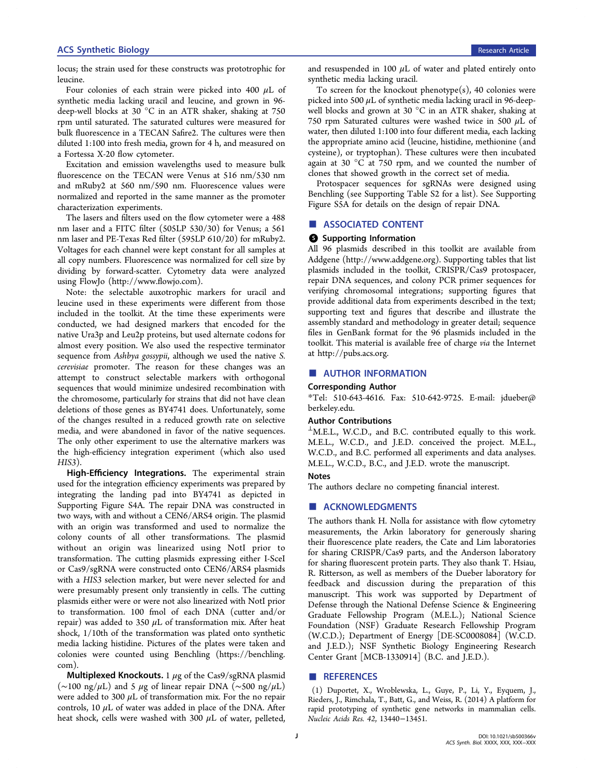<span id="page-9-0"></span>locus; the strain used for these constructs was prototrophic for leucine.

Four colonies of each strain were picked into 400 μL of synthetic media lacking uracil and leucine, and grown in 96 deep-well blocks at 30 °C in an ATR shaker, shaking at 750 rpm until saturated. The saturated cultures were measured for bulk fluorescence in a TECAN Safire2. The cultures were then diluted 1:100 into fresh media, grown for 4 h, and measured on a Fortessa X-20 flow cytometer.

Excitation and emission wavelengths used to measure bulk fluorescence on the TECAN were Venus at 516 nm/530 nm and mRuby2 at 560 nm/590 nm. Fluorescence values were normalized and reported in the same manner as the promoter characterization experiments.

The lasers and filters used on the flow cytometer were a 488 nm laser and a FITC filter (505LP 530/30) for Venus; a 561 nm laser and PE-Texas Red filter (595LP 610/20) for mRuby2. Voltages for each channel were kept constant for all samples at all copy numbers. Fluorescence was normalized for cell size by dividing by forward-scatter. Cytometry data were analyzed using FlowJo ([http://www.](http://www.flowjo.com)flowjo.com).

Note: the selectable auxotrophic markers for uracil and leucine used in these experiments were different from those included in the toolkit. At the time these experiments were conducted, we had designed markers that encoded for the native Ura3p and Leu2p proteins, but used alternate codons for almost every position. We also used the respective terminator sequence from Ashbya gossypii, although we used the native S. cerevisiae promoter. The reason for these changes was an attempt to construct selectable markers with orthogonal sequences that would minimize undesired recombination with the chromosome, particularly for strains that did not have clean deletions of those genes as BY4741 does. Unfortunately, some of the changes resulted in a reduced growth rate on selective media, and were abandoned in favor of the native sequences. The only other experiment to use the alternative markers was the high-efficiency integration experiment (which also used HIS3).

High-Efficiency Integrations. The experimental strain used for the integration efficiency experiments was prepared by integrating the landing pad into BY4741 as depicted in Supporting Figure S4A. The repair DNA was constructed in two ways, with and without a CEN6/ARS4 origin. The plasmid with an origin was transformed and used to normalize the colony counts of all other transformations. The plasmid without an origin was linearized using NotI prior to transformation. The cutting plasmids expressing either I-SceI or Cas9/sgRNA were constructed onto CEN6/ARS4 plasmids with a HIS3 selection marker, but were never selected for and were presumably present only transiently in cells. The cutting plasmids either were or were not also linearized with NotI prior to transformation. 100 fmol of each DNA (cutter and/or repair) was added to 350  $\mu$ L of transformation mix. After heat shock, 1/10th of the transformation was plated onto synthetic media lacking histidine. Pictures of the plates were taken and colonies were counted using Benchling [\(https://benchling.](https://benchling.com) [com\)](https://benchling.com).

Multiplexed Knockouts. 1  $\mu$ g of the Cas9/sgRNA plasmid (∼100 ng/μL) and 5 μg of linear repair DNA (∼500 ng/μL) were added to 300  $\mu$ L of transformation mix. For the no repair controls,  $10 \mu L$  of water was added in place of the DNA. After heat shock, cells were washed with 300  $\mu$ L of water, pelleted,

and resuspended in 100  $\mu$ L of water and plated entirely onto synthetic media lacking uracil.

To screen for the knockout phenotype(s), 40 colonies were picked into 500  $\mu$ L of synthetic media lacking uracil in 96-deepwell blocks and grown at 30 °C in an ATR shaker, shaking at 750 rpm Saturated cultures were washed twice in 500 μL of water, then diluted 1:100 into four different media, each lacking the appropriate amino acid (leucine, histidine, methionine (and cysteine), or tryptophan). These cultures were then incubated again at 30  $\degree$ C at 750 rpm, and we counted the number of clones that showed growth in the correct set of media.

Protospacer sequences for sgRNAs were designed using Benchling (see Supporting Table S2 for a list). See Supporting Figure S5A for details on the design of repair DNA.

#### ■ ASSOCIATED CONTENT

#### **6** Supporting Information

All 96 plasmids described in this toolkit are available from Addgene ([http://www.addgene.org\)](http://www.addgene.org). Supporting tables that list plasmids included in the toolkit, CRISPR/Cas9 protospacer, repair DNA sequences, and colony PCR primer sequences for verifying chromosomal integrations; supporting figures that provide additional data from experiments described in the text; supporting text and figures that describe and illustrate the assembly standard and methodology in greater detail; sequence files in GenBank format for the 96 plasmids included in the toolkit. This material is available free of charge via the Internet at [http://pubs.acs.org.](http://pubs.acs.org)

#### ■ AUTHOR INFORMATION

#### Corresponding Author

\*Tel: 510-643-4616. Fax: 510-642-9725. E-mail: [jdueber@](mailto:jdueber@berkeley.edu) [berkeley.edu.](mailto:jdueber@berkeley.edu)

#### Author Contributions

 $\perp$ M.E.L., W.C.D., and B.C. contributed equally to this work. M.E.L., W.C.D., and J.E.D. conceived the project. M.E.L., W.C.D., and B.C. performed all experiments and data analyses. M.E.L., W.C.D., B.C., and J.E.D. wrote the manuscript.

#### Notes

The authors declare no competing financial interest.

#### **■ ACKNOWLEDGMENTS**

The authors thank H. Nolla for assistance with flow cytometry measurements, the Arkin laboratory for generously sharing their fluorescence plate readers, the Cate and Lim laboratories for sharing CRISPR/Cas9 parts, and the Anderson laboratory for sharing fluorescent protein parts. They also thank T. Hsiau, R. Ritterson, as well as members of the Dueber laboratory for feedback and discussion during the preparation of this manuscript. This work was supported by Department of Defense through the National Defense Science & Engineering Graduate Fellowship Program (M.E.L.); National Science Foundation (NSF) Graduate Research Fellowship Program (W.C.D.); Department of Energy [DE-SC0008084] (W.C.D. and J.E.D.); NSF Synthetic Biology Engineering Research Center Grant [MCB-1330914] (B.C. and J.E.D.).

#### ■ REFERENCES

(1) Duportet, X., Wroblewska, L., Guye, P., Li, Y., Eyquem, J., Rieders, J., Rimchala, T., Batt, G., and Weiss, R. (2014) A platform for rapid prototyping of synthetic gene networks in mammalian cells. Nucleic Acids Res. 42, 13440−13451.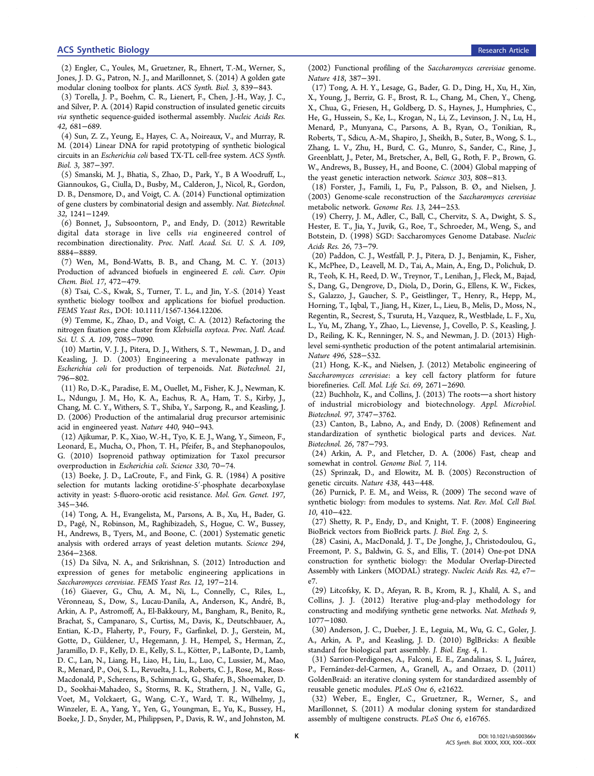<span id="page-10-0"></span>(2) Engler, C., Youles, M., Gruetzner, R., Ehnert, T.-M., Werner, S., Jones, J. D. G., Patron, N. J., and Marillonnet, S. (2014) A golden gate modular cloning toolbox for plants. ACS Synth. Biol. 3, 839−843.

(3) Torella, J. P., Boehm, C. R., Lienert, F., Chen, J.-H., Way, J. C., and Silver, P. A. (2014) Rapid construction of insulated genetic circuits via synthetic sequence-guided isothermal assembly. Nucleic Acids Res. 42, 681−689.

(4) Sun, Z. Z., Yeung, E., Hayes, C. A., Noireaux, V., and Murray, R. M. (2014) Linear DNA for rapid prototyping of synthetic biological circuits in an Escherichia coli based TX-TL cell-free system. ACS Synth. Biol. 3, 387−397.

(5) Smanski, M. J., Bhatia, S., Zhao, D., Park, Y., B A Woodruff, L., Giannoukos, G., Ciulla, D., Busby, M., Calderon, J., Nicol, R., Gordon, D. B., Densmore, D., and Voigt, C. A. (2014) Functional optimization of gene clusters by combinatorial design and assembly. Nat. Biotechnol. 32, 1241−1249.

(6) Bonnet, J., Subsoontorn, P., and Endy, D. (2012) Rewritable digital data storage in live cells via engineered control of recombination directionality. Proc. Natl. Acad. Sci. U. S. A. 109, 8884−8889.

(7) Wen, M., Bond-Watts, B. B., and Chang, M. C. Y. (2013) Production of advanced biofuels in engineered E. coli. Curr. Opin Chem. Biol. 17, 472−479.

(8) Tsai, C.-S., Kwak, S., Turner, T. L., and Jin, Y.-S. (2014) Yeast synthetic biology toolbox and applications for biofuel production. FEMS Yeast Res., DOI: 10.1111/1567-1364.12206.

(9) Temme, K., Zhao, D., and Voigt, C. A. (2012) Refactoring the nitrogen fixation gene cluster from Klebsiella oxytoca. Proc. Natl. Acad. Sci. U. S. A. 109, 7085−7090.

(10) Martin, V. J. J., Pitera, D. J., Withers, S. T., Newman, J. D., and Keasling, J. D. (2003) Engineering a mevalonate pathway in Escherichia coli for production of terpenoids. Nat. Biotechnol. 21, 796−802.

(11) Ro, D.-K., Paradise, E. M., Ouellet, M., Fisher, K. J., Newman, K. L., Ndungu, J. M., Ho, K. A., Eachus, R. A., Ham, T. S., Kirby, J., Chang, M. C. Y., Withers, S. T., Shiba, Y., Sarpong, R., and Keasling, J. D. (2006) Production of the antimalarial drug precursor artemisinic acid in engineered yeast. Nature 440, 940−943.

(12) Ajikumar, P. K., Xiao, W.-H., Tyo, K. E. J., Wang, Y., Simeon, F., Leonard, E., Mucha, O., Phon, T. H., Pfeifer, B., and Stephanopoulos, G. (2010) Isoprenoid pathway optimization for Taxol precursor overproduction in Escherichia coli. Science 330, 70−74.

(13) Boeke, J. D., LaCroute, F., and Fink, G. R. (1984) A positive selection for mutants lacking orotidine-5′-phosphate decarboxylase activity in yeast: 5-fluoro-orotic acid resistance. Mol. Gen. Genet. 197, 345−346.

(14) Tong, A. H., Evangelista, M., Parsons, A. B., Xu, H., Bader, G. D., Page,́ N., Robinson, M., Raghibizadeh, S., Hogue, C. W., Bussey, H., Andrews, B., Tyers, M., and Boone, C. (2001) Systematic genetic analysis with ordered arrays of yeast deletion mutants. Science 294, 2364−2368.

(15) Da Silva, N. A., and Srikrishnan, S. (2012) Introduction and expression of genes for metabolic engineering applications in Saccharomyces cerevisiae. FEMS Yeast Res. 12, 197−214.

(16) Giaever, G., Chu, A. M., Ni, L., Connelly, C., Riles, L., Véronneau, S., Dow, S., Lucau-Danila, A., Anderson, K., André, B., Arkin, A. P., Astromoff, A., El-Bakkoury, M., Bangham, R., Benito, R., Brachat, S., Campanaro, S., Curtiss, M., Davis, K., Deutschbauer, A., Entian, K.-D., Flaherty, P., Foury, F., Garfinkel, D. J., Gerstein, M., Gotte, D., Güldener, U., Hegemann, J. H., Hempel, S., Herman, Z., Jaramillo, D. F., Kelly, D. E., Kelly, S. L., Kötter, P., LaBonte, D., Lamb, D. C., Lan, N., Liang, H., Liao, H., Liu, L., Luo, C., Lussier, M., Mao, R., Menard, P., Ooi, S. L., Revuelta, J. L., Roberts, C. J., Rose, M., Ross-Macdonald, P., Scherens, B., Schimmack, G., Shafer, B., Shoemaker, D. D., Sookhai-Mahadeo, S., Storms, R. K., Strathern, J. N., Valle, G., Voet, M., Volckaert, G., Wang, C.-Y., Ward, T. R., Wilhelmy, J., Winzeler, E. A., Yang, Y., Yen, G., Youngman, E., Yu, K., Bussey, H., Boeke, J. D., Snyder, M., Philippsen, P., Davis, R. W., and Johnston, M.

(2002) Functional profiling of the Saccharomyces cerevisiae genome. Nature 418, 387−391.

(17) Tong, A. H. Y., Lesage, G., Bader, G. D., Ding, H., Xu, H., Xin, X., Young, J., Berriz, G. F., Brost, R. L., Chang, M., Chen, Y., Cheng, X., Chua, G., Friesen, H., Goldberg, D. S., Haynes, J., Humphries, C., He, G., Hussein, S., Ke, L., Krogan, N., Li, Z., Levinson, J. N., Lu, H., Menard, P., Munyana, C., Parsons, A. B., Ryan, O., Tonikian, R., Roberts, T., Sdicu, A.-M., Shapiro, J., Sheikh, B., Suter, B., Wong, S. L., Zhang, L. V., Zhu, H., Burd, C. G., Munro, S., Sander, C., Rine, J., Greenblatt, J., Peter, M., Bretscher, A., Bell, G., Roth, F. P., Brown, G. W., Andrews, B., Bussey, H., and Boone, C. (2004) Global mapping of the yeast genetic interaction network. Science 303, 808−813.

(18) Forster, J., Famili, I., Fu, P., Palsson, B. Ø., and Nielsen, J. (2003) Genome-scale reconstruction of the Saccharomyces cerevisiae metabolic network. Genome Res. 13, 244−253.

(19) Cherry, J. M., Adler, C., Ball, C., Chervitz, S. A., Dwight, S. S., Hester, E. T., Jia, Y., Juvik, G., Roe, T., Schroeder, M., Weng, S., and Botstein, D. (1998) SGD: Saccharomyces Genome Database. Nucleic Acids Res. 26, 73−79.

(20) Paddon, C. J., Westfall, P. J., Pitera, D. J., Benjamin, K., Fisher, K., McPhee, D., Leavell, M. D., Tai, A., Main, A., Eng, D., Polichuk, D. R., Teoh, K. H., Reed, D. W., Treynor, T., Lenihan, J., Fleck, M., Bajad, S., Dang, G., Dengrove, D., Diola, D., Dorin, G., Ellens, K. W., Fickes, S., Galazzo, J., Gaucher, S. P., Geistlinger, T., Henry, R., Hepp, M., Horning, T., Iqbal, T., Jiang, H., Kizer, L., Lieu, B., Melis, D., Moss, N., Regentin, R., Secrest, S., Tsuruta, H., Vazquez, R., Westblade, L. F., Xu, L., Yu, M., Zhang, Y., Zhao, L., Lievense, J., Covello, P. S., Keasling, J. D., Reiling, K. K., Renninger, N. S., and Newman, J. D. (2013) Highlevel semi-synthetic production of the potent antimalarial artemisinin. Nature 496, 528−532.

(21) Hong, K.-K., and Nielsen, J. (2012) Metabolic engineering of Saccharomyces cerevisiae: a key cell factory platform for future biorefineries. Cell. Mol. Life Sci. 69, 2671−2690.

 $(22)$  Buchholz, K., and Collins, J.  $(2013)$  The roots—a short history of industrial microbiology and biotechnology. Appl. Microbiol. Biotechnol. 97, 3747−3762.

(23) Canton, B., Labno, A., and Endy, D. (2008) Refinement and standardization of synthetic biological parts and devices. Nat. Biotechnol. 26, 787−793.

(24) Arkin, A. P., and Fletcher, D. A. (2006) Fast, cheap and somewhat in control. Genome Biol. 7, 114.

(25) Sprinzak, D., and Elowitz, M. B. (2005) Reconstruction of genetic circuits. Nature 438, 443−448.

(26) Purnick, P. E. M., and Weiss, R. (2009) The second wave of synthetic biology: from modules to systems. Nat. Rev. Mol. Cell Biol. 10, 410−422.

(27) Shetty, R. P., Endy, D., and Knight, T. F. (2008) Engineering BioBrick vectors from BioBrick parts. J. Biol. Eng. 2, 5.

(28) Casini, A., MacDonald, J. T., De Jonghe, J., Christodoulou, G., Freemont, P. S., Baldwin, G. S., and Ellis, T. (2014) One-pot DNA construction for synthetic biology: the Modular Overlap-Directed Assembly with Linkers (MODAL) strategy. Nucleic Acids Res. 42, e7− e7.

(29) Litcofsky, K. D., Afeyan, R. B., Krom, R. J., Khalil, A. S., and Collins, J. J. (2012) Iterative plug-and-play methodology for constructing and modifying synthetic gene networks. Nat. Methods 9, 1077−1080.

(30) Anderson, J. C., Dueber, J. E., Leguia, M., Wu, G. C., Goler, J. A., Arkin, A. P., and Keasling, J. D. (2010) BglBricks: A flexible standard for biological part assembly. J. Biol. Eng. 4, 1.

(31) Sarrion-Perdigones, A., Falconi, E. E., Zandalinas, S. I., Juárez, P., Fernández-del-Carmen, A., Granell, A., and Orzaez, D. (2011) GoldenBraid: an iterative cloning system for standardized assembly of reusable genetic modules. PLoS One 6, e21622.

(32) Weber, E., Engler, C., Gruetzner, R., Werner, S., and Marillonnet, S. (2011) A modular cloning system for standardized assembly of multigene constructs. PLoS One 6, e16765.

K